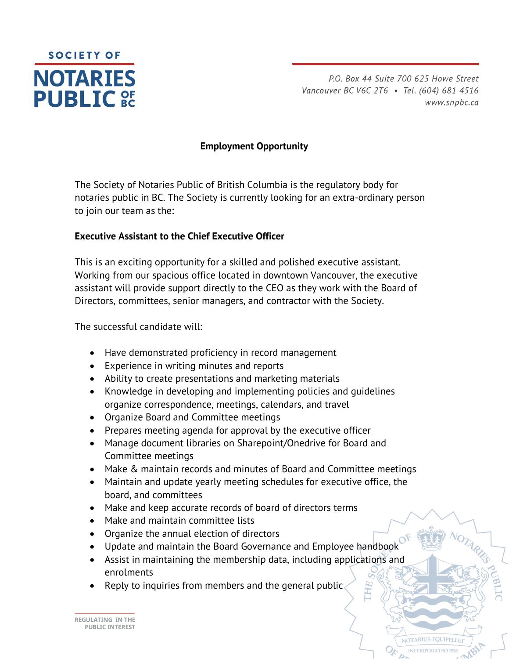

P.O. Box 44 Suite 700 625 Howe Street Vancouver BC V6C 2T6 · Tel. (604) 681 4516 www.snpbc.ca

**IOTARIUS EQUIPEI LE** 

# **Employment Opportunity**

The Society of Notaries Public of British Columbia is the regulatory body for notaries public in BC. The Society is currently looking for an extra-ordinary person to join our team as the:

## **Executive Assistant to the Chief Executive Officer**

This is an exciting opportunity for a skilled and polished executive assistant. Working from our spacious office located in downtown Vancouver, the executive assistant will provide support directly to the CEO as they work with the Board of Directors, committees, senior managers, and contractor with the Society.

The successful candidate will:

- Have demonstrated proficiency in record management
- Experience in writing minutes and reports
- Ability to create presentations and marketing materials
- Knowledge in developing and implementing policies and guidelines organize correspondence, meetings, calendars, and travel
- Organize Board and Committee meetings
- Prepares meeting agenda for approval by the executive officer
- Manage document libraries on Sharepoint/Onedrive for Board and Committee meetings
- Make & maintain records and minutes of Board and Committee meetings
- Maintain and update yearly meeting schedules for executive office, the board, and committees
- Make and keep accurate records of board of directors terms
- Make and maintain committee lists
- Organize the annual election of directors
- Update and maintain the Board Governance and Employee handbook
- Assist in maintaining the membership data, including applications and enrolments
- Reply to inquiries from members and the general public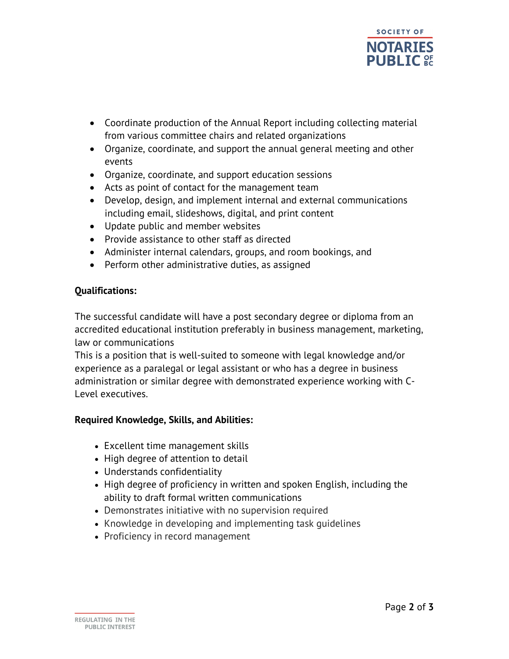

- Coordinate production of the Annual Report including collecting material from various committee chairs and related organizations
- Organize, coordinate, and support the annual general meeting and other events
- Organize, coordinate, and support education sessions
- Acts as point of contact for the management team
- Develop, design, and implement internal and external communications including email, slideshows, digital, and print content
- Update public and member websites
- Provide assistance to other staff as directed
- Administer internal calendars, groups, and room bookings, and
- Perform other administrative duties, as assigned

#### **Qualifications:**

The successful candidate will have a post secondary degree or diploma from an accredited educational institution preferably in business management, marketing, law or communications

This is a position that is well-suited to someone with legal knowledge and/or experience as a paralegal or legal assistant or who has a degree in business administration or similar degree with demonstrated experience working with C-Level executives.

## **Required Knowledge, Skills, and Abilities:**

- Excellent time management skills
- High degree of attention to detail
- Understands confidentiality
- High degree of proficiency in written and spoken English, including the ability to draft formal written communications
- Demonstrates initiative with no supervision required
- Knowledge in developing and implementing task quidelines
- Proficiency in record management